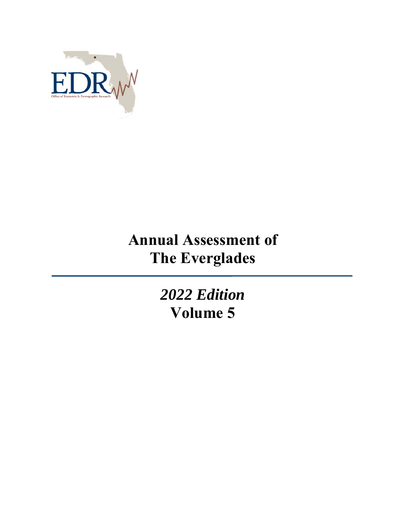

# **Annual Assessment of The Everglades**

*2022 Edition*  **Volume 5**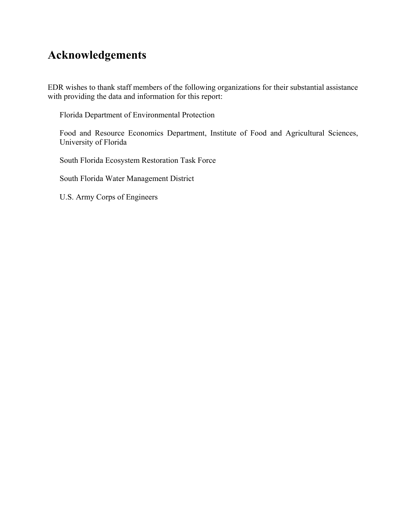### **Acknowledgements**

EDR wishes to thank staff members of the following organizations for their substantial assistance with providing the data and information for this report:

Florida Department of Environmental Protection

Food and Resource Economics Department, Institute of Food and Agricultural Sciences, University of Florida

South Florida Ecosystem Restoration Task Force

South Florida Water Management District

U.S. Army Corps of Engineers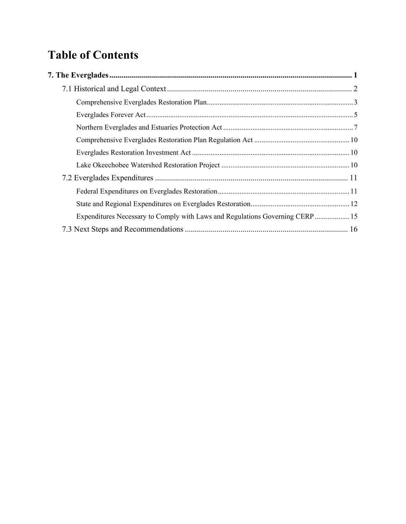# **Table of Contents**

| Expenditures Necessary to Comply with Laws and Regulations Governing CERP 15 |  |
|------------------------------------------------------------------------------|--|
|                                                                              |  |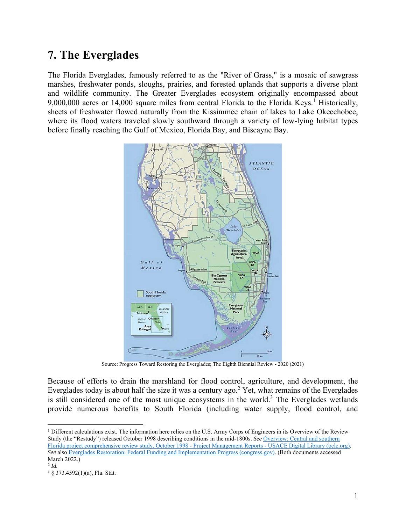## **7. The Everglades**

The Florida Everglades, famously referred to as the "River of Grass," is a mosaic of sawgrass marshes, freshwater ponds, sloughs, prairies, and forested uplands that supports a diverse plant and wildlife community. The Greater Everglades ecosystem originally encompassed about 9,000,000 acres or 14,000 square miles from central Florida to the Florida Keys.<sup>1</sup> Historically, sheets of freshwater flowed naturally from the Kissimmee chain of lakes to Lake Okeechobee, where its flood waters traveled slowly southward through a variety of low-lying habitat types before finally reaching the Gulf of Mexico, Florida Bay, and Biscayne Bay.



Source: Progress Toward Restoring the Everglades; The Eighth Biennial Review - 2020 (2021)

Because of efforts to drain the marshland for flood control, agriculture, and development, the Everglades today is about half the size it was a century ago.<sup>2</sup> Yet, what remains of the Everglades is still considered one of the most unique ecosystems in the world.<sup>3</sup> The Everglades wetlands provide numerous benefits to South Florida (including water supply, flood control, and

1

 $1$  Different calculations exist. The information here relies on the U.S. Army Corps of Engineers in its Overview of the Review Study (the "Restudy") released October 1998 describing conditions in the mid-1800s. *See* Overview: Central and southern Florida project comprehensive review study, October 1998 - Project Management Reports - USACE Digital Library (oclc.org). *See* also Everglades Restoration: Federal Funding and Implementation Progress (congress.gov). (Both documents accessed March 2022.)

<sup>2</sup> *Id.*

<sup>3 § 373.4592(1)(</sup>a), Fla. Stat.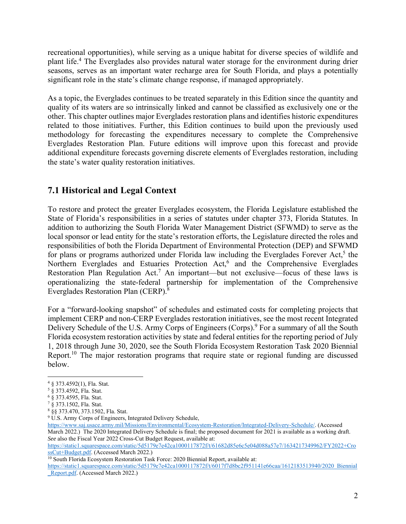recreational opportunities), while serving as a unique habitat for diverse species of wildlife and plant life.<sup>4</sup> The Everglades also provides natural water storage for the environment during drier seasons, serves as an important water recharge area for South Florida, and plays a potentially significant role in the state's climate change response, if managed appropriately.

As a topic, the Everglades continues to be treated separately in this Edition since the quantity and quality of its waters are so intrinsically linked and cannot be classified as exclusively one or the other. This chapter outlines major Everglades restoration plans and identifies historic expenditures related to those initiatives. Further, this Edition continues to build upon the previously used methodology for forecasting the expenditures necessary to complete the Comprehensive Everglades Restoration Plan. Future editions will improve upon this forecast and provide additional expenditure forecasts governing discrete elements of Everglades restoration, including the state's water quality restoration initiatives.

### **7.1 Historical and Legal Context**

To restore and protect the greater Everglades ecosystem, the Florida Legislature established the State of Florida's responsibilities in a series of statutes under chapter 373, Florida Statutes. In addition to authorizing the South Florida Water Management District (SFWMD) to serve as the local sponsor or lead entity for the state's restoration efforts, the Legislature directed the roles and responsibilities of both the Florida Department of Environmental Protection (DEP) and SFWMD for plans or programs authorized under Florida law including the Everglades Forever Act,<sup>5</sup> the Northern Everglades and Estuaries Protection Act,<sup>6</sup> and the Comprehensive Everglades Restoration Plan Regulation Act.<sup>7</sup> An important—but not exclusive—focus of these laws is operationalizing the state-federal partnership for implementation of the Comprehensive Everglades Restoration Plan (CERP).8

For a "forward-looking snapshot" of schedules and estimated costs for completing projects that implement CERP and non-CERP Everglades restoration initiatives, see the most recent Integrated Delivery Schedule of the U.S. Army Corps of Engineers (Corps).<sup>9</sup> For a summary of all the South Florida ecosystem restoration activities by state and federal entities for the reporting period of July 1, 2018 through June 30, 2020, see the South Florida Ecosystem Restoration Task 2020 Biennial Report.<sup>10</sup> The major restoration programs that require state or regional funding are discussed below.

1

https://www.saj.usace.army.mil/Missions/Environmental/Ecosystem-Restoration/Integrated-Delivery-Schedule/. (Accessed March 2022.) The 2020 Integrated Delivery Schedule is final; the proposed document for 2021 is available as a working draft. *See* also the Fiscal Year 2022 Cross-Cut Budget Request, available at:

https://static1.squarespace.com/static/5d5179e7e42ca1000117872f/t/61682d85e6c5e04d088a57e7/1634217349962/FY2022+Cro ssCut+Budget.pdf. (Accessed March 2022.)<br><sup>10</sup> South Florida Ecosystem Restoration Task Force: 2020 Biennial Report, available at:

https://static1.squarespace.com/static/5d5179e7e42ca1000117872f/t/6017f7d8bc2f951141e66caa/1612183513940/2020\_Biennial Report.pdf. (Accessed March 2022.)

<sup>4 §</sup> 373.4592(1), Fla. Stat. 5 § 373.4592, Fla. Stat.

<sup>6 § 373.4595,</sup> Fla. Stat.

<sup>&</sup>lt;sup>7</sup> § 373.1502, Fla. Stat.<br><sup>8</sup> §§ 373.470, 373.1502, Fla. Stat.

<sup>&</sup>lt;sup>9</sup> U.S. Army Corps of Engineers, Integrated Delivery Schedule,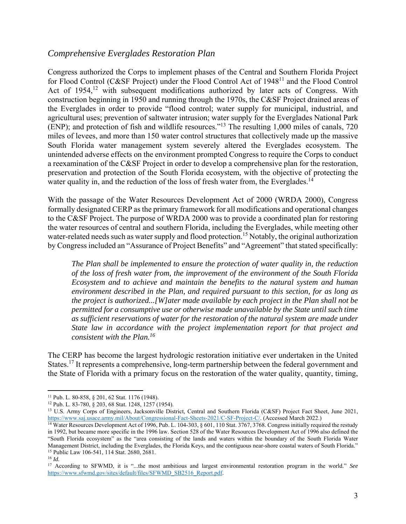#### *Comprehensive Everglades Restoration Plan*

Congress authorized the Corps to implement phases of the Central and Southern Florida Project for Flood Control (C&SF Project) under the Flood Control Act of 1948<sup>11</sup> and the Flood Control Act of 1954,<sup>12</sup> with subsequent modifications authorized by later acts of Congress. With construction beginning in 1950 and running through the 1970s, the C&SF Project drained areas of the Everglades in order to provide "flood control; water supply for municipal, industrial, and agricultural uses; prevention of saltwater intrusion; water supply for the Everglades National Park (ENP); and protection of fish and wildlife resources."13 The resulting 1,000 miles of canals, 720 miles of levees, and more than 150 water control structures that collectively made up the massive South Florida water management system severely altered the Everglades ecosystem. The unintended adverse effects on the environment prompted Congress to require the Corps to conduct a reexamination of the C&SF Project in order to develop a comprehensive plan for the restoration, preservation and protection of the South Florida ecosystem, with the objective of protecting the water quality in, and the reduction of the loss of fresh water from, the Everglades.<sup>14</sup>

With the passage of the Water Resources Development Act of 2000 (WRDA 2000), Congress formally designated CERP as the primary framework for all modifications and operational changes to the C&SF Project. The purpose of WRDA 2000 was to provide a coordinated plan for restoring the water resources of central and southern Florida, including the Everglades, while meeting other water-related needs such as water supply and flood protection.<sup>15</sup> Notably, the original authorization by Congress included an "Assurance of Project Benefits" and "Agreement" that stated specifically:

*The Plan shall be implemented to ensure the protection of water quality in, the reduction of the loss of fresh water from, the improvement of the environment of the South Florida Ecosystem and to achieve and maintain the benefits to the natural system and human environment described in the Plan, and required pursuant to this section, for as long as the project is authorized...[W]ater made available by each project in the Plan shall not be permitted for a consumptive use or otherwise made unavailable by the State until such time as sufficient reservations of water for the restoration of the natural system are made under State law in accordance with the project implementation report for that project and consistent with the Plan.16*

The CERP has become the largest hydrologic restoration initiative ever undertaken in the United States.<sup>17</sup> It represents a comprehensive, long-term partnership between the federal government and the State of Florida with a primary focus on the restoration of the water quality, quantity, timing,

 $\overline{a}$ 

<sup>11</sup> Pub. L. 80-858, § 201, 62 Stat. 1176 (1948). 12 Pub. L. 83-780, § 203, 68 Stat. 1248, 1257 (1954).

<sup>&</sup>lt;sup>13</sup> U.S. Army Corps of Engineers, Jacksonville District, Central and Southern Florida (C&SF) Project Fact Sheet, June 2021, https://www.saj.usace.army.mil/About/Congressional-Fact-Sheets-2021/C-SF-Project-C/. (Accessed March 2022.)<br><sup>14</sup> Water Resources Development Act of 1996, Pub. L. 104-303, § 601, 110 Stat. 3767, 3768. Congress initially req

in 1992, but became more specific in the 1996 law. Section 528 of the Water Resources Development Act of 1996 also defined the "South Florida ecosystem" as the "area consisting of the lands and waters within the boundary of the South Florida Water Management District, including the Everglades, the Florida Keys, and the contiguous near-shore coastal waters of South Florida." 15 Public Law 106-541, 114 Stat. 2680, 2681.

 $^{16}\,$   $ld.$ 

<sup>17</sup> According to SFWMD, it is "...the most ambitious and largest environmental restoration program in the world." *See*  https://www.sfwmd.gov/sites/default/files/SFWMD\_SB2516\_Report.pdf.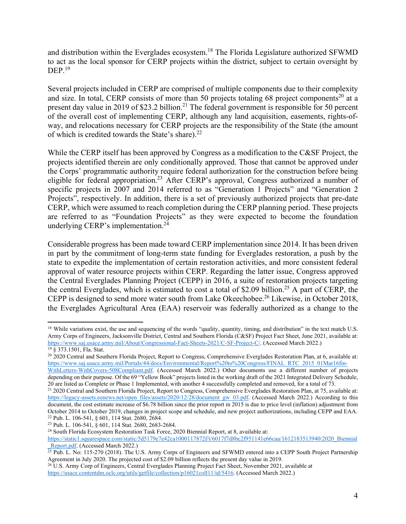and distribution within the Everglades ecosystem.<sup>18</sup> The Florida Legislature authorized SFWMD to act as the local sponsor for CERP projects within the district, subject to certain oversight by  $DEF.$ <sup>19</sup>

Several projects included in CERP are comprised of multiple components due to their complexity and size. In total, CERP consists of more than 50 projects totaling 68 project components<sup>20</sup> at a present day value in 2019 of \$23.2 billion.<sup>21</sup> The federal government is responsible for 50 percent of the overall cost of implementing CERP, although any land acquisition, easements, rights-ofway, and relocations necessary for CERP projects are the responsibility of the State (the amount of which is credited towards the State's share). $22$ 

While the CERP itself has been approved by Congress as a modification to the C&SF Project, the projects identified therein are only conditionally approved. Those that cannot be approved under the Corps' programmatic authority require federal authorization for the construction before being eligible for federal appropriation.23 After CERP's approval, Congress authorized a number of specific projects in 2007 and 2014 referred to as "Generation 1 Projects" and "Generation 2 Projects", respectively. In addition, there is a set of previously authorized projects that pre-date CERP, which were assumed to reach completion during the CERP planning period. These projects are referred to as "Foundation Projects" as they were expected to become the foundation underlying CERP's implementation.<sup>24</sup>

Considerable progress has been made toward CERP implementation since 2014. It has been driven in part by the commitment of long-term state funding for Everglades restoration, a push by the state to expedite the implementation of certain restoration activities, and more consistent federal approval of water resource projects within CERP. Regarding the latter issue, Congress approved the Central Everglades Planning Project (CEPP) in 2016, a suite of restoration projects targeting the central Everglades, which is estimated to cost a total of \$2.09 billion.<sup>25</sup> A part of CERP, the CEPP is designed to send more water south from Lake Okeechobee.<sup>26</sup> Likewise, in October 2018, the Everglades Agricultural Area (EAA) reservoir was federally authorized as a change to the

 $\overline{a}$ <sup>18</sup> While variations exist, the use and sequencing of the words "quality, quantity, timing, and distribution" in the text match U.S. Army Corps of Engineers, Jacksonville District, Central and Southern Florida (C&SF) Project Fact Sheet, June 2021, available at: https://www.saj.usace.army.mil/About/Congressional-Fact-Sheets-2021/C-SF-Project-C/. (Accessed March 2022.) 19 § 373.1501, Fla. Stat.

<sup>&</sup>lt;sup>20</sup> 2020 Central and Southern Florida Project, Report to Congress, Comprehensive Everglades Restoration Plan, at 6, available at: https://www.saj.usace.army.mil/Portals/44/docs/Environmental/Report%20to%20Congress/FINAL\_RTC\_2015\_01Mar16fin-

WithLetters-WithCovers-508Compliant.pdf. (Accessed March 2022.) Other documents use a different number of projects depending on their purpose. Of the 69 "Yellow Book" projects listed in the working draft of the 2021 Integrated Delivery Schedule, 20 are listed as Complete or Phase 1 Implemented, with another 4 successfully completed and removed, for a total of 73.<br><sup>21</sup> 2020 Central and Southern Florida Project, Report to Congress, Comprehensive Everglades Restorati

https://legacy-assets.eenews.net/open\_files/assets/2020/12/28/document\_gw\_03.pdf. (Accessed March 2022.) According to this document, the cost estimate increase of \$6.78 billion since the prior report in 2015 is due to price level (inflation) adjustment from October 2014 to October 2019, changes in project scope and schedule, and new project authorizations, including CEPP and EAA.<br><sup>22</sup> Pub. L. 106-541, § 601, 114 Stat. 2680, 2684.<br><sup>23</sup> Pub. L. 106-541, § 601, 114 Stat. 2680, 2

https://static1.squarespace.com/static/5d5179e7e42ca1000117872f/t/6017f7d8bc2f951141e66caa/1612183513940/2020\_Biennial\_Report.pdf. (Accessed March 2022.)

 $\frac{R_{\text{C}}}{25}$  Pub. L. No: 115-270 (2018). The U.S. Army Corps of Engineers and SFWMD entered into a CEPP South Project Partnership Agreement in July 2020. The projected cost of \$2.09 billion reflects the present day value in 2019.<br><sup>26</sup> U.S. Army Corp of Engineers, Central Everglades Planning Project Fact Sheet, November 2021, available at

https://usace.contentdm.oclc.org/utils/getfile/collection/p16021coll11/id/5416. (Accessed March 2022.)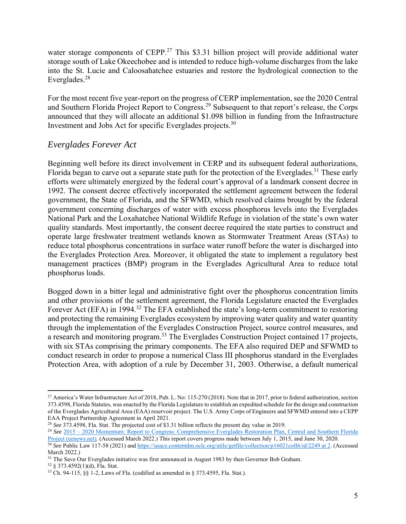water storage components of CEPP.<sup>27</sup> This \$3.31 billion project will provide additional water storage south of Lake Okeechobee and is intended to reduce high-volume discharges from the lake into the St. Lucie and Caloosahatchee estuaries and restore the hydrological connection to the Everglades.28

For the most recent five year-report on the progress of CERP implementation, see the 2020 Central and Southern Florida Project Report to Congress.29 Subsequent to that report's release, the Corps announced that they will allocate an additional \$1.098 billion in funding from the Infrastructure Investment and Jobs Act for specific Everglades projects.30

#### *Everglades Forever Act*

Beginning well before its direct involvement in CERP and its subsequent federal authorizations, Florida began to carve out a separate state path for the protection of the Everglades.<sup>31</sup> These early efforts were ultimately energized by the federal court's approval of a landmark consent decree in 1992. The consent decree effectively incorporated the settlement agreement between the federal government, the State of Florida, and the SFWMD, which resolved claims brought by the federal government concerning discharges of water with excess phosphorus levels into the Everglades National Park and the Loxahatchee National Wildlife Refuge in violation of the state's own water quality standards. Most importantly, the consent decree required the state parties to construct and operate large freshwater treatment wetlands known as Stormwater Treatment Areas (STAs) to reduce total phosphorus concentrations in surface water runoff before the water is discharged into the Everglades Protection Area. Moreover, it obligated the state to implement a regulatory best management practices (BMP) program in the Everglades Agricultural Area to reduce total phosphorus loads.

Bogged down in a bitter legal and administrative fight over the phosphorus concentration limits and other provisions of the settlement agreement, the Florida Legislature enacted the Everglades Forever Act (EFA) in 1994.<sup>32</sup> The EFA established the state's long-term commitment to restoring and protecting the remaining Everglades ecosystem by improving water quality and water quantity through the implementation of the Everglades Construction Project, source control measures, and a research and monitoring program.33 The Everglades Construction Project contained 17 projects, with six STAs comprising the primary components. The EFA also required DEP and SFWMD to conduct research in order to propose a numerical Class III phosphorus standard in the Everglades Protection Area, with adoption of a rule by December 31, 2003. Otherwise, a default numerical

<sup>&</sup>lt;sup>27</sup> America's Water Infrastructure Act of 2018, Pub. L. No: 115-270 (2018). Note that in 2017, prior to federal authorization, section 373.4598, Florida Statutes, was enacted by the Florida Legislature to establish an expedited schedule for the design and construction of the Everglades Agricultural Area (EAA) reservoir project. The U.S. Army Corps of Engineers and SFWMD entered into a CEPP

<sup>&</sup>lt;sup>28</sup> See 373.4598, Fla. Stat. The projected cost of \$3.31 billion reflects the present day value in 2019.<br><sup>29</sup> See  $2015 - 2020$  Momentum: Report to Congress: Comprehensive Everglades Restoration Plan, Central and Southern Project (eenews.net). (Accessed March 2022.) This report covers progress made between July 1, 2015, and June 30, 2020.<br><sup>30</sup> See Public Law 117-58 (2021) and https://usace.contentdm.oclc.org/utils/getfile/collection/p16021c

March 2022.)

<sup>&</sup>lt;sup>31</sup> The Save Our Everglades initiative was first announced in August 1983 by then Governor Bob Graham.<br><sup>32</sup> § 373.4592(1)(d), Fla. Stat.

<sup>33</sup> Ch. 94-115, §§ 1-2, Laws of Fla. (codified as amended in § 373.4595, Fla. Stat.).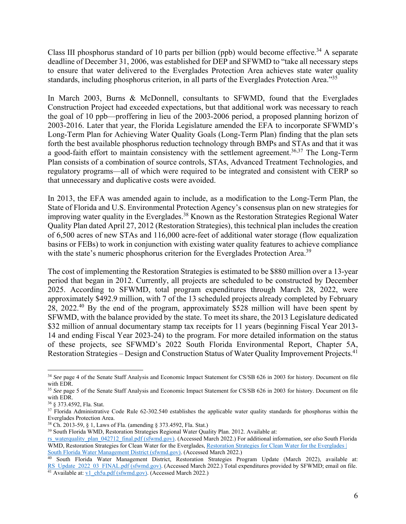Class III phosphorus standard of 10 parts per billion (ppb) would become effective.<sup>34</sup> A separate deadline of December 31, 2006, was established for DEP and SFWMD to "take all necessary steps to ensure that water delivered to the Everglades Protection Area achieves state water quality standards, including phosphorus criterion, in all parts of the Everglades Protection Area."<sup>35</sup>

In March 2003, Burns & McDonnell, consultants to SFWMD, found that the Everglades Construction Project had exceeded expectations, but that additional work was necessary to reach the goal of 10 ppb—proffering in lieu of the 2003-2006 period, a proposed planning horizon of 2003-2016. Later that year, the Florida Legislature amended the EFA to incorporate SFWMD's Long-Term Plan for Achieving Water Quality Goals (Long-Term Plan) finding that the plan sets forth the best available phosphorus reduction technology through BMPs and STAs and that it was a good-faith effort to maintain consistency with the settlement agreement.<sup>36,37</sup> The Long-Term Plan consists of a combination of source controls, STAs, Advanced Treatment Technologies, and regulatory programs—all of which were required to be integrated and consistent with CERP so that unnecessary and duplicative costs were avoided.

In 2013, the EFA was amended again to include, as a modification to the Long-Term Plan, the State of Florida and U.S. Environmental Protection Agency's consensus plan on new strategies for improving water quality in the Everglades.<sup>38</sup> Known as the Restoration Strategies Regional Water Quality Plan dated April 27, 2012 (Restoration Strategies), this technical plan includes the creation of 6,500 acres of new STAs and 116,000 acre-feet of additional water storage (flow equalization basins or FEBs) to work in conjunction with existing water quality features to achieve compliance with the state's numeric phosphorus criterion for the Everglades Protection Area.<sup>39</sup>

The cost of implementing the Restoration Strategies is estimated to be \$880 million over a 13-year period that began in 2012. Currently, all projects are scheduled to be constructed by December 2025. According to SFWMD, total program expenditures through March 28, 2022, were approximately \$492.9 million, with 7 of the 13 scheduled projects already completed by February 28, 2022.40 By the end of the program, approximately \$528 million will have been spent by SFWMD, with the balance provided by the state. To meet its share, the 2013 Legislature dedicated \$32 million of annual documentary stamp tax receipts for 11 years (beginning Fiscal Year 2013-14 and ending Fiscal Year 2023-24) to the program. For more detailed information on the status of these projects, see SFWMD's 2022 South Florida Environmental Report, Chapter 5A, Restoration Strategies – Design and Construction Status of Water Quality Improvement Projects.<sup>41</sup>

<u>.</u>

<sup>&</sup>lt;sup>34</sup> See page 4 of the Senate Staff Analysis and Economic Impact Statement for CS/SB 626 in 2003 for history. Document on file with EDR.

<sup>&</sup>lt;sup>35</sup> See page 5 of the Senate Staff Analysis and Economic Impact Statement for CS/SB 626 in 2003 for history. Document on file with EDR.

<sup>36 § 373.4592,</sup> Fla. Stat.

<sup>&</sup>lt;sup>37</sup> Florida Administrative Code Rule 62-302.540 establishes the applicable water quality standards for phosphorus within the Everglades Protection Area.<br><sup>38</sup> Ch. 2013-59, § 1, Laws of Fla. (amending § 373.4592, Fla. Stat.)

<sup>&</sup>lt;sup>39</sup> South Florida WMD, Restoration Strategies Regional Water Quality Plan. 2012. Available at:

rs\_waterquality\_plan\_042712\_final.pdf (sfwmd.gov). (Accessed March 2022.) For additional information, *see also* South Florida WMD, Restoration Strategies for Clean Water for the Everglades, Restoration Strategies for Clean Water for the Everglades | South Florida Water Management District (sfwmd.gov). (Accessed March 2022.) 40 South Florida Water Management District, Restoration Strategies Program Update (March 2022), available at:

RS\_Update\_2022\_03\_FINAL.pdf (sfwmd.gov). (Accessed March 2022.) Total expenditures provided by SFWMD; email on file. 41 Available at: <u>v1\_ch5a.pdf (sfwmd.gov)</u>. (Accessed March 2022.)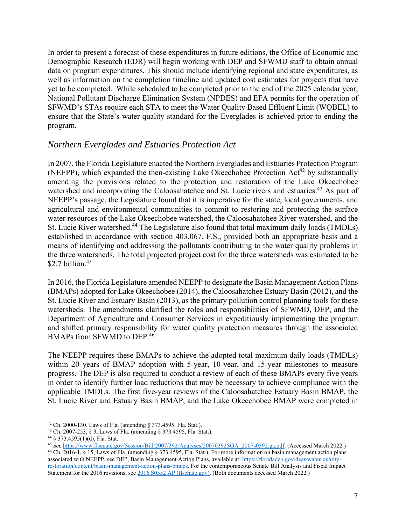In order to present a forecast of these expenditures in future editions, the Office of Economic and Demographic Research (EDR) will begin working with DEP and SFWMD staff to obtain annual data on program expenditures. This should include identifying regional and state expenditures, as well as information on the completion timeline and updated cost estimates for projects that have yet to be completed. While scheduled to be completed prior to the end of the 2025 calendar year, National Pollutant Discharge Elimination System (NPDES) and EFA permits for the operation of SFWMD's STAs require each STA to meet the Water Quality Based Effluent Limit (WQBEL) to ensure that the State's water quality standard for the Everglades is achieved prior to ending the program.

#### *Northern Everglades and Estuaries Protection Act*

In 2007, the Florida Legislature enacted the Northern Everglades and Estuaries Protection Program (NEEPP), which expanded the then-existing Lake Okeechobee Protection  $Act^{42}$  by substantially amending the provisions related to the protection and restoration of the Lake Okeechobee watershed and incorporating the Caloosahatchee and St. Lucie rivers and estuaries.<sup>43</sup> As part of NEEPP's passage, the Legislature found that it is imperative for the state, local governments, and agricultural and environmental communities to commit to restoring and protecting the surface water resources of the Lake Okeechobee watershed, the Caloosahatchee River watershed, and the St. Lucie River watershed.<sup>44</sup> The Legislature also found that total maximum daily loads (TMDLs) established in accordance with section 403.067, F.S., provided both an appropriate basis and a means of identifying and addressing the pollutants contributing to the water quality problems in the three watersheds. The total projected project cost for the three watersheds was estimated to be \$2.7 billion. $45$ 

In 2016, the Florida Legislature amended NEEPP to designate the Basin Management Action Plans (BMAPs) adopted for Lake Okeechobee (2014), the Caloosahatchee Estuary Basin (2012), and the St. Lucie River and Estuary Basin (2013), as the primary pollution control planning tools for these watersheds. The amendments clarified the roles and responsibilities of SFWMD, DEP, and the Department of Agriculture and Consumer Services in expeditiously implementing the program and shifted primary responsibility for water quality protection measures through the associated BMAPs from SFWMD to DEP.<sup>46</sup>

The NEEPP requires these BMAPs to achieve the adopted total maximum daily loads (TMDLs) within 20 years of BMAP adoption with 5-year, 10-year, and 15-year milestones to measure progress. The DEP is also required to conduct a review of each of these BMAPs every five years in order to identify further load reductions that may be necessary to achieve compliance with the applicable TMDLs. The first five-year reviews of the Caloosahatchee Estuary Basin BMAP, the St. Lucie River and Estuary Basin BMAP, and the Lake Okeechobee BMAP were completed in

<sup>&</sup>lt;u>.</u>

<sup>&</sup>lt;sup>42</sup> Ch. 2000-130. Laws of Fla. (amending § 373.4595, Fla. Stat.).<br><sup>43</sup> Ch. 2007-253, § 3, Laws of Fla. (amending § 373.4595, Fla. Stat.).<br><sup>44</sup> § 373.4595(1)(d), Fla. Stat.<br><sup>45</sup> See https://www.flsenate.gov/Session/Bill/2 <sup>46</sup> Ch. 2016-1, § 15, Laws of Fla. (amending § 373.4595, Fla. Stat.). For more information on basin management action plans associated with NEEPP, see DEP, Basin Management Action Plans, available at: https://floridadep.gov/dear/water-qualityrestoration/content/basin-management-action-plans-bmaps. For the contemporaneous Senate Bill Analysis and Fiscal Impact Statement for the 2016 revisions, see 2016 S0552 AP (flsenate.gov). (Both documents accessed March 2022.)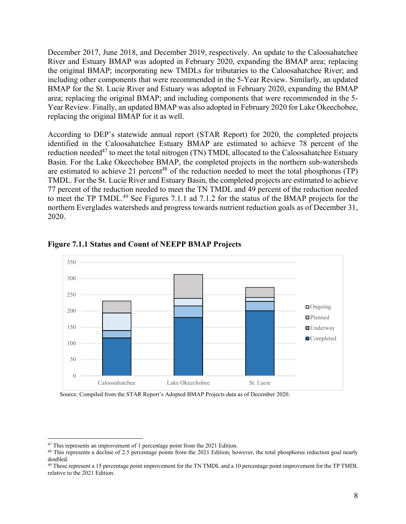December 2017, June 2018, and December 2019, respectively. An update to the Caloosahatchee River and Estuary BMAP was adopted in February 2020, expanding the BMAP area; replacing the original BMAP; incorporating new TMDLs for tributaries to the Caloosahatchee River; and including other components that were recommended in the 5-Year Review. Similarly, an updated BMAP for the St. Lucie River and Estuary was adopted in February 2020, expanding the BMAP area; replacing the original BMAP; and including components that were recommended in the 5- Year Review. Finally, an updated BMAP was also adopted in February 2020 for Lake Okeechobee, replacing the original BMAP for it as well.

According to DEP's statewide annual report (STAR Report) for 2020, the completed projects identified in the Caloosahatchee Estuary BMAP are estimated to achieve 78 percent of the reduction needed<sup>47</sup> to meet the total nitrogen (TN) TMDL allocated to the Caloosahatchee Estuary Basin. For the Lake Okeechobee BMAP, the completed projects in the northern sub-watersheds are estimated to achieve 21 percent<sup>48</sup> of the reduction needed to meet the total phosphorus (TP) TMDL. For the St. Lucie River and Estuary Basin, the completed projects are estimated to achieve 77 percent of the reduction needed to meet the TN TMDL and 49 percent of the reduction needed to meet the TP TMDL.<sup>49</sup> See Figures 7.1.1 ad 7.1.2 for the status of the BMAP projects for the northern Everglades watersheds and progress towards nutrient reduction goals as of December 31, 2020.



**Figure 7.1.1 Status and Count of NEEPP BMAP Projects** 

Source: Compiled from the STAR Report's Adopted BMAP Projects data as of December 2020.

<sup>&</sup>lt;sup>47</sup> This represents an improvement of 1 percentage point from the 2021 Edition.<br><sup>48</sup> This represents a decline of 2.5 percentage points from the 2021 Edition; however, the total phosphorus reduction goal nearly doubled.

<sup>&</sup>lt;sup>49</sup> These represent a 15 percentage point improvement for the TN TMDL and a 10 percentage point improvement for the TP TMDL relative to the 2021 Edition.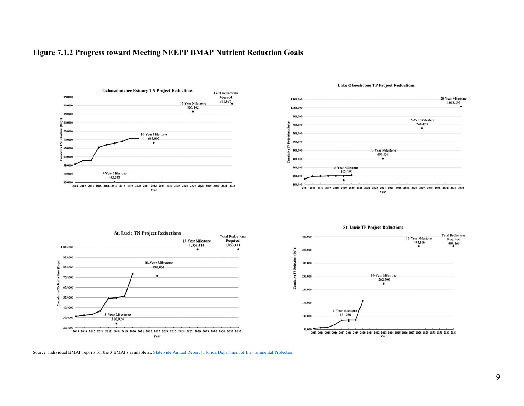#### **Figure 7.1.2 Progress toward Meeting NEEPP BMAP Nutrient Reduction Goals**



**St. Lucie TN Project Reductions** 

5-Year Milestone

316,024  $\bullet$ 

10-Year Milestone

790,061

1,075,000

975,000

875,000

575,000

475,000

375,000

275,000

ě

H 775,000

č 675,000 15-Year Milestone

1,053,414

 $\bullet$ 



#### **Lake Okeechobee TP Project Reductions**



**St. Lucie TP Project Reductions** 

Source: Individual BMAP reports for the 3 BMAPs available at: Statewide Annual Report | Florida Department of Environmental Protection.

Year

**Total Reductions** 

Required<br>404,166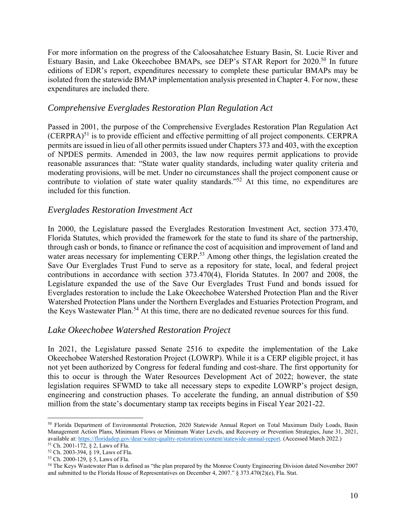For more information on the progress of the Caloosahatchee Estuary Basin, St. Lucie River and Estuary Basin, and Lake Okeechobee BMAPs, see DEP's STAR Report for 2020.50 In future editions of EDR's report, expenditures necessary to complete these particular BMAPs may be isolated from the statewide BMAP implementation analysis presented in Chapter 4. For now, these expenditures are included there.

#### *Comprehensive Everglades Restoration Plan Regulation Act*

Passed in 2001, the purpose of the Comprehensive Everglades Restoration Plan Regulation Act  $(CERPRA)^{51}$  is to provide efficient and effective permitting of all project components. CERPRA permits are issued in lieu of all other permits issued under Chapters 373 and 403, with the exception of NPDES permits. Amended in 2003, the law now requires permit applications to provide reasonable assurances that: "State water quality standards, including water quality criteria and moderating provisions, will be met. Under no circumstances shall the project component cause or contribute to violation of state water quality standards."<sup>52</sup> At this time, no expenditures are included for this function.

#### *Everglades Restoration Investment Act*

In 2000, the Legislature passed the Everglades Restoration Investment Act, section 373.470, Florida Statutes, which provided the framework for the state to fund its share of the partnership, through cash or bonds, to finance or refinance the cost of acquisition and improvement of land and water areas necessary for implementing CERP.<sup>53</sup> Among other things, the legislation created the Save Our Everglades Trust Fund to serve as a repository for state, local, and federal project contributions in accordance with section 373.470(4), Florida Statutes. In 2007 and 2008, the Legislature expanded the use of the Save Our Everglades Trust Fund and bonds issued for Everglades restoration to include the Lake Okeechobee Watershed Protection Plan and the River Watershed Protection Plans under the Northern Everglades and Estuaries Protection Program, and the Keys Wastewater Plan.<sup>54</sup> At this time, there are no dedicated revenue sources for this fund.

#### *Lake Okeechobee Watershed Restoration Project*

In 2021, the Legislature passed Senate 2516 to expedite the implementation of the Lake Okeechobee Watershed Restoration Project (LOWRP). While it is a CERP eligible project, it has not yet been authorized by Congress for federal funding and cost-share. The first opportunity for this to occur is through the Water Resources Development Act of 2022; however, the state legislation requires SFWMD to take all necessary steps to expedite LOWRP's project design, engineering and construction phases. To accelerate the funding, an annual distribution of \$50 million from the state's documentary stamp tax receipts begins in Fiscal Year 2021-22.

 $\overline{a}$ 50 Florida Department of Environmental Protection, 2020 Statewide Annual Report on Total Maximum Daily Loads, Basin Management Action Plans, Minimum Flows or Minimum Water Levels, and Recovery or Prevention Strategies, June 31, 2021, available at: https://floridadep.gov/dear/water-quality-restoration/content/statewide-annual-report. (Accessed March 2022.) <sup>51</sup> Ch. 2001-172, § 2, Laws of Fla.

<sup>52</sup> Ch. 2003-394, § 19, Laws of Fla.

<sup>53</sup> Ch. 2000-129, § 5, Laws of Fla.

<sup>&</sup>lt;sup>54</sup> The Keys Wastewater Plan is defined as "the plan prepared by the Monroe County Engineering Division dated November 2007 and submitted to the Florida House of Representatives on December 4, 2007." § 373.470(2)(e), Fla. Stat.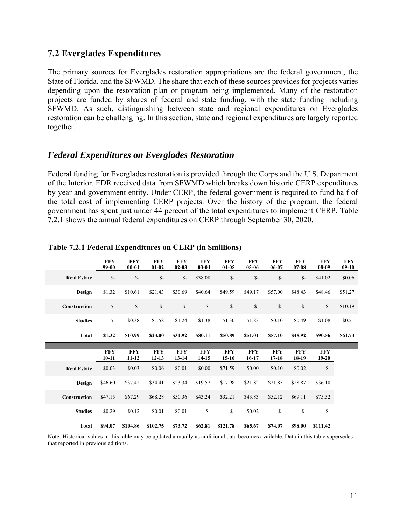#### **7.2 Everglades Expenditures**

The primary sources for Everglades restoration appropriations are the federal government, the State of Florida, and the SFWMD. The share that each of these sources provides for projects varies depending upon the restoration plan or program being implemented. Many of the restoration projects are funded by shares of federal and state funding, with the state funding including SFWMD. As such, distinguishing between state and regional expenditures on Everglades restoration can be challenging. In this section, state and regional expenditures are largely reported together.

#### *Federal Expenditures on Everglades Restoration*

Federal funding for Everglades restoration is provided through the Corps and the U.S. Department of the Interior. EDR received data from SFWMD which breaks down historic CERP expenditures by year and government entity. Under CERP, the federal government is required to fund half of the total cost of implementing CERP projects. Over the history of the program, the federal government has spent just under 44 percent of the total expenditures to implement CERP. Table 7.2.1 shows the annual federal expenditures on CERP through September 30, 2020.

|                    | <b>FFY</b><br>99-00   | <b>FFY</b><br>$00 - 01$ | <b>FFY</b><br>$01 - 02$ | <b>FFY</b><br>$02 - 03$ | <b>FFY</b><br>$03 - 04$ | <b>FFY</b><br>$04 - 05$ | <b>FFY</b><br>$05-06$ | <b>FFY</b><br>06-07   | <b>FFY</b><br>$07 - 08$ | <b>FFY</b><br>$08-09$   | <b>FFY</b><br>$09-10$ |
|--------------------|-----------------------|-------------------------|-------------------------|-------------------------|-------------------------|-------------------------|-----------------------|-----------------------|-------------------------|-------------------------|-----------------------|
| <b>Real Estate</b> | $S-$                  | $\mathcal{S}$ -         | $S-$                    | $S-$                    | \$38.08                 | $S-$                    | $\mathbb{S}$ -        | $\mathbb{S}^-$        | $S-$                    | \$41.02                 | \$0.06                |
| Design             | \$1.32                | \$10.61                 | \$21.43                 | \$30.69                 | \$40.64                 | \$49.59                 | \$49.17               | \$57.00               | \$48.43                 | \$48.46                 | \$51.27               |
| Construction       | $S-$                  | $S-$                    | $\mathsf{S}$ -          | $\mathsf{S}$ -          | $S-$                    | $\mathsf{S}$ -          | $\mathsf{S}$ -        | $S-$                  | $\mathbb{S}$ -          | $S-$                    | \$10.19               |
| <b>Studies</b>     | $S-$                  | \$0.38                  | \$1.58                  | \$1.24                  | \$1.38                  | \$1.30                  | \$1.83                | \$0.10                | \$0.49                  | \$1.08                  | \$0.21                |
| <b>Total</b>       | \$1.32                | \$10.99                 | \$23.00                 | \$31.92                 | \$80.11                 | \$50.89                 | \$51.01               | \$57.10               | \$48.92                 | \$90.56                 | \$61.73               |
|                    |                       |                         |                         |                         |                         |                         |                       |                       |                         |                         |                       |
|                    | <b>FFY</b><br>$10-11$ | <b>FFY</b><br>$11 - 12$ | <b>FFY</b><br>$12 - 13$ | <b>FFY</b><br>$13 - 14$ | <b>FFY</b><br>$14 - 15$ | <b>FFY</b><br>$15-16$   | <b>FFY</b><br>16-17   | <b>FFY</b><br>$17-18$ | <b>FFY</b><br>18-19     | <b>FFY</b><br>$19 - 20$ |                       |
| <b>Real Estate</b> | \$0.03                | \$0.03                  | \$0.06                  | \$0.01                  | \$0.00                  | \$71.59                 | \$0.00                | \$0.10                | \$0.02                  | $\mathbb{S}$ -          |                       |
| Design             | \$46.60               | \$37.42                 | \$34.41                 | \$23.34                 | \$19.57                 | \$17.98                 | \$21.82               | \$21.85               | \$28.87                 | \$36.10                 |                       |
| Construction       | \$47.15               | \$67.29                 | \$68.28                 | \$50.36                 | \$43.24                 | \$32.21                 | \$43.83               | \$52.12               | \$69.11                 | \$75.32                 |                       |
| <b>Studies</b>     | \$0.29                | \$0.12                  | \$0.01                  | \$0.01                  | $S-$                    | $S-$                    | \$0.02                | $S-$                  | $\mathsf{S}$ -          | $S-$                    |                       |
| <b>Total</b>       | \$94.07               | \$104.86                | \$102.75                | \$73.72                 | \$62.81                 | \$121.78                | \$65.67               | \$74.07               | \$98.00                 | \$111.42                |                       |

#### **Table 7.2.1 Federal Expenditures on CERP (in \$millions)**

Note: Historical values in this table may be updated annually as additional data becomes available. Data in this table supersedes that reported in previous editions.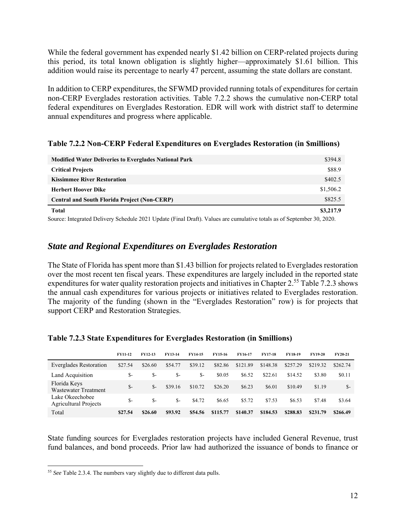While the federal government has expended nearly \$1.42 billion on CERP-related projects during this period, its total known obligation is slightly higher—approximately \$1.61 billion. This addition would raise its percentage to nearly 47 percent, assuming the state dollars are constant.

In addition to CERP expenditures, the SFWMD provided running totals of expenditures for certain non-CERP Everglades restoration activities. Table 7.2.2 shows the cumulative non-CERP total federal expenditures on Everglades Restoration. EDR will work with district staff to determine annual expenditures and progress where applicable.

| <b>Modified Water Deliveries to Everglades National Park</b> | \$394.8   |
|--------------------------------------------------------------|-----------|
| <b>Critical Projects</b>                                     | \$88.9    |
| <b>Kissimmee River Restoration</b>                           | \$402.5   |
| <b>Herbert Hoover Dike</b>                                   | \$1,506.2 |
| <b>Central and South Florida Project (Non-CERP)</b>          | \$825.5   |
| <b>Total</b>                                                 | \$3,217.9 |

#### **Table 7.2.2 Non-CERP Federal Expenditures on Everglades Restoration (in \$millions)**

Source: Integrated Delivery Schedule 2021 Update (Final Draft). Values are cumulative totals as of September 30, 2020.

#### *State and Regional Expenditures on Everglades Restoration*

The State of Florida has spent more than \$1.43 billion for projects related to Everglades restoration over the most recent ten fiscal years. These expenditures are largely included in the reported state expenditures for water quality restoration projects and initiatives in Chapter 2.55 Table 7.2.3 shows the annual cash expenditures for various projects or initiatives related to Everglades restoration. The majority of the funding (shown in the "Everglades Restoration" row) is for projects that support CERP and Restoration Strategies.

|                                                 | <b>FY11-12</b> | <b>FY12-13</b> | <b>FY13-14</b> | <b>FY14-15</b> | <b>FY15-16</b> | <b>FY16-17</b> | <b>FY17-18</b> | <b>FY18-19</b> | <b>FY19-20</b> | <b>FY20-21</b> |
|-------------------------------------------------|----------------|----------------|----------------|----------------|----------------|----------------|----------------|----------------|----------------|----------------|
| Everglades Restoration                          | \$27.54        | \$26.60        | \$54.77        | \$39.12        | \$82.86        | \$121.89       | \$148.38       | \$257.29       | \$219.32       | \$262.74       |
| Land Acquisition                                | \$-            | \$-            | \$-            | \$-            | \$0.05         | \$6.52         | \$22.61        | \$14.52        | \$3.80         | \$0.11         |
| Florida Keys<br>Wastewater Treatment            | $S-$           | $S-$           | \$39.16        | \$10.72        | \$26.20        | \$6.23         | \$6.01         | \$10.49        | \$1.19         | $S-$           |
| Lake Okeechobee<br><b>Agricultural Projects</b> | \$-            | $S-$           | \$-            | \$4.72         | \$6.65         | \$5.72         | \$7.53         | \$6.53         | \$7.48         | \$3.64         |
| Total                                           | \$27.54        | \$26.60        | \$93.92        | \$54.56        | \$115.77       | \$140.37       | \$184.53       | \$288.83       | \$231.79       | \$266.49       |

#### **Table 7.2.3 State Expenditures for Everglades Restoration (in \$millions)**

State funding sources for Everglades restoration projects have included General Revenue, trust fund balances, and bond proceeds. Prior law had authorized the issuance of bonds to finance or

 $\overline{a}$ <sup>55</sup> *See* Table 2.3.4. The numbers vary slightly due to different data pulls.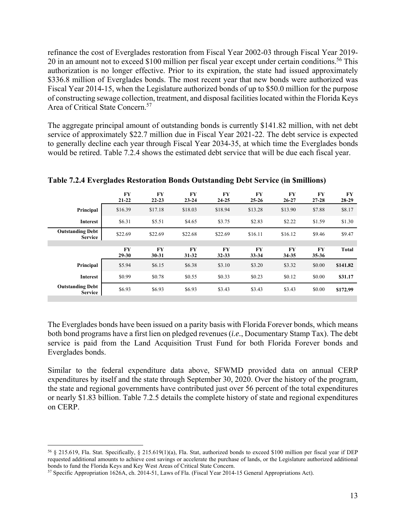refinance the cost of Everglades restoration from Fiscal Year 2002-03 through Fiscal Year 2019- 20 in an amount not to exceed \$100 million per fiscal year except under certain conditions.<sup>56</sup> This authorization is no longer effective. Prior to its expiration, the state had issued approximately \$336.8 million of Everglades bonds. The most recent year that new bonds were authorized was Fiscal Year 2014-15, when the Legislature authorized bonds of up to \$50.0 million for the purpose of constructing sewage collection, treatment, and disposal facilities located within the Florida Keys Area of Critical State Concern.57

The aggregate principal amount of outstanding bonds is currently \$141.82 million, with net debt service of approximately \$22.7 million due in Fiscal Year 2021-22. The debt service is expected to generally decline each year through Fiscal Year 2034-35, at which time the Everglades bonds would be retired. Table 7.2.4 shows the estimated debt service that will be due each fiscal year.

|                                           | FY<br>$21 - 22$ | <b>FY</b><br>$22 - 23$ | <b>FY</b><br>$23 - 24$ | <b>FY</b><br>$24 - 25$ | <b>FY</b><br>$25 - 26$ | <b>FY</b><br>$26 - 27$ | FY<br>$27 - 28$ | <b>FY</b><br>28-29 |
|-------------------------------------------|-----------------|------------------------|------------------------|------------------------|------------------------|------------------------|-----------------|--------------------|
| Principal                                 | \$16.39         | \$17.18                | \$18.03                | \$18.94                | \$13.28                | \$13.90                | \$7.88          | \$8.17             |
| Interest                                  | \$6.31          | \$5.51                 | \$4.65                 | \$3.75                 | \$2.83                 | \$2.22                 | \$1.59          | \$1.30             |
| <b>Outstanding Debt</b><br><b>Service</b> | \$22.69         | \$22.69                | \$22.68                | \$22.69                | \$16.11                | \$16.12                | \$9.46          | \$9.47             |
|                                           | FY              | <b>FY</b>              | <b>FY</b>              | FY                     | FY                     | FY                     | FY              | <b>Total</b>       |
|                                           | $29 - 30$       | $30 - 31$              | $31 - 32$              | $32 - 33$              | $33 - 34$              | 34-35                  | $35 - 36$       |                    |
| Principal                                 | \$5.94          | \$6.15                 | \$6.38                 | \$3.10                 | \$3.20                 | \$3.32                 | \$0.00          | \$141.82           |
| Interest                                  | \$0.99          | \$0.78                 | \$0.55                 | \$0.33                 | \$0.23                 | \$0.12                 | \$0.00          | \$31.17            |
| <b>Outstanding Debt</b><br><b>Service</b> | \$6.93          | \$6.93                 | \$6.93                 | \$3.43                 | \$3.43                 | \$3.43                 | \$0.00          | \$172.99           |

**Table 7.2.4 Everglades Restoration Bonds Outstanding Debt Service (in \$millions)** 

The Everglades bonds have been issued on a parity basis with Florida Forever bonds, which means both bond programs have a first lien on pledged revenues (*i.e.*, Documentary Stamp Tax). The debt service is paid from the Land Acquisition Trust Fund for both Florida Forever bonds and Everglades bonds.

Similar to the federal expenditure data above, SFWMD provided data on annual CERP expenditures by itself and the state through September 30, 2020. Over the history of the program, the state and regional governments have contributed just over 56 percent of the total expenditures or nearly \$1.83 billion. Table 7.2.5 details the complete history of state and regional expenditures on CERP.

<sup>56 § 215.619,</sup> Fla. Stat. Specifically, § 215.619(1)(a), Fla. Stat, authorized bonds to exceed \$100 million per fiscal year if DEP requested additional amounts to achieve cost savings or accelerate the purchase of lands, or the Legislature authorized additional bonds to fund the Florida Keys and Key West Areas of Critical State Concern.<br><sup>57</sup> Specific Appropriation 1626A, ch. 2014-51, Laws of Fla. (Fiscal Year 2014-15 General Appropriations Act).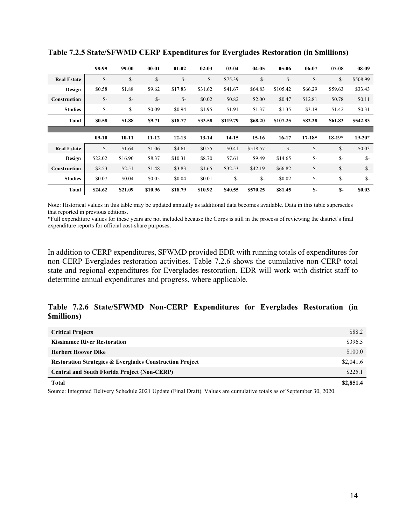|                    | 98-99   | 99-00           | $00 - 01$       | $01-02$        | $02 - 03$ | $03 - 04$ | $04-05$  | $05-06$  | 06-07          | $07 - 08$ | $08-09$  |
|--------------------|---------|-----------------|-----------------|----------------|-----------|-----------|----------|----------|----------------|-----------|----------|
| <b>Real Estate</b> | $S-$    | $\mathcal{S}$ - | $S-$            | $S-$           | $S-$      | \$75.39   | $S-$     | $S-$     | $S-$           | $S-$      | \$508.99 |
| Design             | \$0.58  | \$1.88          | \$9.62          | \$17.83        | \$31.62   | \$41.67   | \$64.83  | \$105.42 | \$66.29        | \$59.63   | \$33.43  |
| Construction       | $S-$    | $\mathcal{S}$ - | $\mathcal{S}$ - | $\mathsf{S}$ - | \$0.02    | \$0.82    | \$2.00   | \$0.47   | \$12.81        | \$0.78    | \$0.11   |
| <b>Studies</b>     | $S-$    | $\mathbb{S}$ -  | \$0.09          | \$0.94         | \$1.95    | \$1.91    | \$1.37   | \$1.35   | \$3.19         | \$1.42    | \$0.31   |
| <b>Total</b>       | \$0.58  | \$1.88          | \$9.71          | \$18.77        | \$33.58   | \$119.79  | \$68.20  | \$107.25 | \$82.28        | \$61.83   | \$542.83 |
|                    |         |                 |                 |                |           |           |          |          |                |           |          |
|                    | $09-10$ | $10-11$         | $11 - 12$       | $12 - 13$      | $13 - 14$ | 14-15     | $15-16$  | 16-17    | $17 - 18*$     | $18-19*$  | $19-20*$ |
| <b>Real Estate</b> | $S-$    | \$1.64          | \$1.06          | \$4.61         | \$0.55    | \$0.41    | \$518.57 | $S-$     | $S-$           | $S-$      | \$0.03   |
| <b>Design</b>      | \$22.02 | \$16.90         | \$8.37          | \$10.31        | \$8.70    | \$7.61    | \$9.49   | \$14.65  | $\mathsf{S}$ - | $S-$      | $S-$     |
| Construction       | \$2.53  | \$2.51          | \$1.48          | \$3.83         | \$1.65    | \$32.53   | \$42.19  | \$66.82  | $S-$           | $S-$      | $S-$     |
| <b>Studies</b>     | \$0.07  | \$0.04          | \$0.05          | \$0.04         | \$0.01    | $S-$      | $S-$     | $-$0.02$ | $S-$           | $S-$      | $S-$     |
| <b>Total</b>       | \$24.62 | \$21.09         | \$10.96         | \$18.79        | \$10.92   | \$40.55   | \$570.25 | \$81.45  | $S-$           | $S-$      | \$0.03   |

**Table 7.2.5 State/SFWMD CERP Expenditures for Everglades Restoration (in \$millions)** 

Note: Historical values in this table may be updated annually as additional data becomes available. Data in this table supersedes that reported in previous editions.

\*Full expenditure values for these years are not included because the Corps is still in the process of reviewing the district's final expenditure reports for official cost-share purposes.

In addition to CERP expenditures, SFWMD provided EDR with running totals of expenditures for non-CERP Everglades restoration activities. Table 7.2.6 shows the cumulative non-CERP total state and regional expenditures for Everglades restoration. EDR will work with district staff to determine annual expenditures and progress, where applicable.

#### **Table 7.2.6 State/SFWMD Non-CERP Expenditures for Everglades Restoration (in \$millions)**

| <b>Total</b>                                                        | \$2,851.4 |
|---------------------------------------------------------------------|-----------|
| <b>Central and South Florida Project (Non-CERP)</b>                 | \$225.1   |
| <b>Restoration Strategies &amp; Everglades Construction Project</b> | \$2,041.6 |
| <b>Herbert Hoover Dike</b>                                          | \$100.0   |
| <b>Kissimmee River Restoration</b>                                  | \$396.5   |
| <b>Critical Projects</b>                                            | \$88.2    |
|                                                                     |           |

Source: Integrated Delivery Schedule 2021 Update (Final Draft). Values are cumulative totals as of September 30, 2020.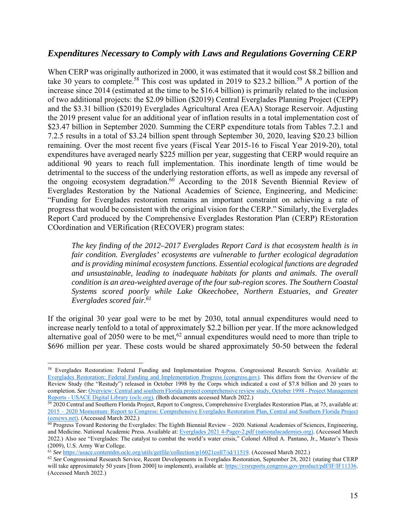#### *Expenditures Necessary to Comply with Laws and Regulations Governing CERP*

When CERP was originally authorized in 2000, it was estimated that it would cost \$8.2 billion and take 30 years to complete.<sup>58</sup> This cost was updated in 2019 to \$23.2 billion.<sup>59</sup> A portion of the increase since 2014 (estimated at the time to be \$16.4 billion) is primarily related to the inclusion of two additional projects: the \$2.09 billion (\$2019) Central Everglades Planning Project (CEPP) and the \$3.31 billion (\$2019) Everglades Agricultural Area (EAA) Storage Reservoir. Adjusting the 2019 present value for an additional year of inflation results in a total implementation cost of \$23.47 billion in September 2020. Summing the CERP expenditure totals from Tables 7.2.1 and 7.2.5 results in a total of \$3.24 billion spent through September 30, 2020, leaving \$20.23 billion remaining. Over the most recent five years (Fiscal Year 2015-16 to Fiscal Year 2019-20), total expenditures have averaged nearly \$225 million per year, suggesting that CERP would require an additional 90 years to reach full implementation. This inordinate length of time would be detrimental to the success of the underlying restoration efforts, as well as impede any reversal of the ongoing ecosystem degradation.<sup>60</sup> According to the 2018 Seventh Biennial Review of Everglades Restoration by the National Academies of Science, Engineering, and Medicine: "Funding for Everglades restoration remains an important constraint on achieving a rate of progress that would be consistent with the original vision for the CERP." Similarly, the Everglades Report Card produced by the Comprehensive Everglades Restoration Plan (CERP) REstoration COordination and VERification (RECOVER) program states:

*The key finding of the 2012–2017 Everglades Report Card is that ecosystem health is in fair condition. Everglades' ecosystems are vulnerable to further ecological degradation and is providing minimal ecosystem functions. Essential ecological functions are degraded and unsustainable, leading to inadequate habitats for plants and animals. The overall condition is an area-weighted average of the four sub-region scores. The Southern Coastal Systems scored poorly while Lake Okeechobee, Northern Estuaries, and Greater Everglades scored fair.61*

If the original 30 year goal were to be met by 2030, total annual expenditures would need to increase nearly tenfold to a total of approximately \$2.2 billion per year. If the more acknowledged alternative goal of 2050 were to be met,<sup>62</sup> annual expenditures would need to more than triple to \$696 million per year. These costs would be shared approximately 50-50 between the federal

<sup>58</sup> Everglades Restoration: Federal Funding and Implementation Progress. Congressional Research Service. Available at: Everglades Restoration: Federal Funding and Implementation Progress (congress.gov). This differs from the Overview of the Review Study (the "Restudy") released in October 1998 by the Corps which indicated a cost of \$7.8 billion and 20 years to completion. *See*: Overview: Central and southern Florida project comprehensive review study, October 1998 - Project Management<br>Reports - USACE Digital Library (ocle.org). (Both documents accessed March 2022.)

 $\frac{1}{29}$  2020 Central and Southern Florida Project, Report to Congress, Comprehensive Everglades Restoration Plan, at 75, available at: 2015 – 2020 Momentum: Report to Congress: Comprehensive Everglades Restoration Plan, Central and Southern Florida Project (eenews.net). (Accessed March 2022.)<br><sup>60</sup> Progress Toward Restoring the Everglades: The Eighth Biennial Review – 2020. National Academies of Sciences, Engineering,

and Medicine. National Academic Press. Available at: Everglades 2021 4-Pager-2.pdf (nationalacademies.org). (Accessed March 2022.) Also see "Everglades: The catalyst to combat the world's water crisis," Colonel Alfred A. Pantano, Jr., Master's Thesis (2009), U.S. Army War College.<br><sup>61</sup> See https://usace.contentdm.oclc.org/utils/getfile/collection/p16021coll7/id/11519. (Accessed March 2022.)

 $62$  See Congressional Research Service, Recent Developments in Everglades Restoration, September 28, 2021 (stating that CERP will take approximately 50 years [from 2000] to implement), available at: https://crsreports.congress.gov/product/pdf/IF/IF11336. (Accessed March 2022.)